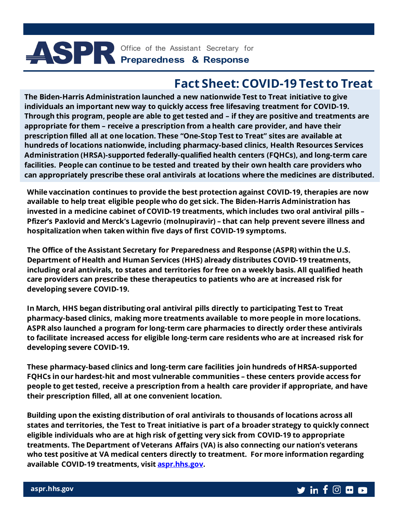# Office of the Assistant Secretary for **Preparedness & Response**

## **Fact Sheet: COVID-19 Test to Treat**

**The Biden-Harris Administration launched a new nationwide Test to Treat initiative to give individuals an important new way to quickly access free lifesaving treatment for COVID-19. Through this program, people are able to get tested and – if they are positive and treatments are appropriate for them – receive a prescription from a health care provider, and have their prescription filled all at one location. These "One-Stop Test to Treat" sites are available at hundreds of locations nationwide, including pharmacy-based clinics, Health Resources Services Administration (HRSA)-supported federally-qualified health centers (FQHCs), and long-term care facilities. People can continue to be tested and treated by their own health care providers who can appropriately prescribe these oral antivirals at locations where the medicines are distributed.** 

**While vaccination continues to provide the best protection against COVID-19, therapies are now available to help treat eligible people who do get sick. The Biden-Harris Administration has invested in a medicine cabinet of COVID-19 treatments, which includes two oral antiviral pills – Pfizer's Paxlovid and Merck's Lagevrio (molnupiravir) – that can help prevent severe illness and hospitalization when taken within five days of first COVID-19 symptoms.**

**The Office of the Assistant Secretary for Preparedness and Response (ASPR) within the U.S. Department of Health and Human Services (HHS) already distributes COVID-19 treatments, including oral antivirals, to states and territories for free on a weekly basis. All qualified heath care providers can prescribe these therapeutics to patients who are at increased risk for developing severe COVID-19.**

**In March, HHS began distributing oral antiviral pills directly to participating Test to Treat pharmacy-based clinics, making more treatments available to more people in more locations. ASPR also launched a program for long-term care pharmacies to directly order these antivirals to facilitate increased access for eligible long-term care residents who are at increased risk for developing severe COVID-19.** 

**These pharmacy-based clinics and long-term care facilities join hundreds of HRSA-supported FQHCs in our hardest-hit and most vulnerable communities – these centers provide access for people to get tested, receive a prescription from a health care provider if appropriate, and have their prescription filled, all at one convenient location.**

**Building upon the existing distribution of oral antivirals to thousands of locations across all states and territories, the Test to Treat initiative is part of a broader strategy to quickly connect eligible individuals who are at high risk of getting very sick from COVID-19 to appropriate treatments. The Department of Veterans Affairs (VA) is also connecting our nation's veterans who test positive at VA medical centers directly to treatment. For more information regarding available COVID-19 treatments, visit [aspr.hhs.gov.](http://www.aspr.hhs.gov/)**